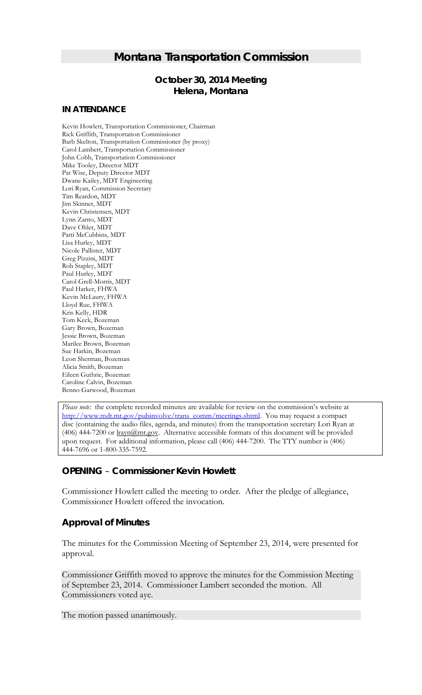# *Montana Transportation Commission*

## *October 30, 2014 Meeting* **Helena, Montana**

#### **IN ATTENDANCE**

Kevin Howlett, Transportation Commissioner, Chairman Rick Griffith, Transportation Commissioner Barb Skelton, Transportation Commissioner (by proxy) Carol Lambert, Transportation Commissioner John Cobb, Transportation Commissioner Mike Tooley, Director MDT Pat Wise, Deputy Director MDT Dwane Kailey, MDT Engineering Lori Ryan, Commission Secretary Tim Reardon, MDT Jim Skinner, MDT Kevin Christensen, MDT Lynn Zanto, MDT Dave Ohler, MDT Patti McCubbins, MDT Lisa Hurley, MDT Nicole Pallister, MDT Greg Pizzini, MDT Rob Stapley, MDT Paul Hurley, MDT Carol Grell-Morris, MDT Paul Harker, FHWA Kevin McLaury, FHWA Lloyd Rue, FHWA Kris Kelly, HDR Tom Keck, Bozeman Gary Brown, Bozeman Jessie Brown, Bozeman Marilee Brown, Bozeman Sue Harkin, Bozeman Leon Sherman, Bozeman Alicia Smith, Bozeman Eileen Guthrie, Bozeman Caroline Calvin, Bozeman Benno Garwood, Bozeman

*Please note:* the complete recorded minutes are available for review on the commission's website at [http://www.mdt.mt.gov/pubinvolve/trans\\_comm/meetings.shtml.](http://www.mdt.mt.gov/pubinvolve/trans_comm/meetings.shtml) You may request a compact disc (containing the audio files, agenda, and minutes) from the transportation secretary Lori Ryan at  $(406)$  444-7200 or  $\frac{\text{trayn@mt.gov}}{\text{arayn@mt.gov}}$ . Alternative accessible formats of this document will be provided upon request. For additional information, please call (406) 444-7200. The TTY number is (406) 444-7696 or 1-800-335-7592.

## *OPENING – Commissioner Kevin Howlett*

Commissioner Howlett called the meeting to order. After the pledge of allegiance, Commissioner Howlett offered the invocation.

## *Approval of Minutes*

The minutes for the Commission Meeting of September 23, 2014, were presented for approval.

Commissioner Griffith moved to approve the minutes for the Commission Meeting of September 23, 2014. Commissioner Lambert seconded the motion. All Commissioners voted aye.

The motion passed unanimously.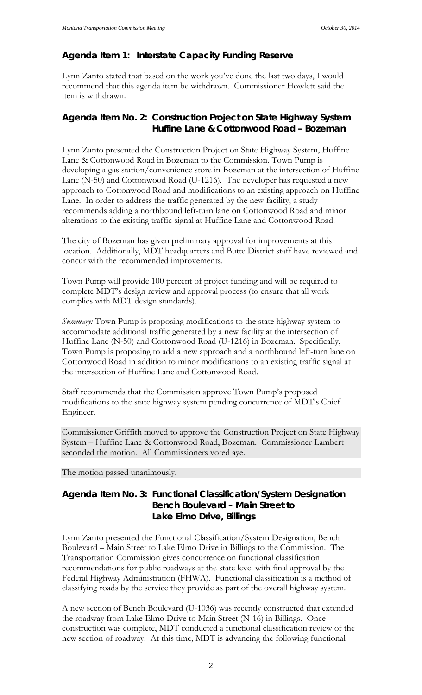### *Agenda Item 1: Interstate Capacity Funding Reserve*

Lynn Zanto stated that based on the work you've done the last two days, I would recommend that this agenda item be withdrawn. Commissioner Howlett said the item is withdrawn.

## *Agenda Item No. 2: Construction Project on State Highway System Huffine Lane & Cottonwood Road – Bozeman*

Lynn Zanto presented the Construction Project on State Highway System, Huffine Lane & Cottonwood Road in Bozeman to the Commission. Town Pump is developing a gas station/convenience store in Bozeman at the intersection of Huffine Lane (N-50) and Cottonwood Road (U-1216). The developer has requested a new approach to Cottonwood Road and modifications to an existing approach on Huffine Lane. In order to address the traffic generated by the new facility, a study recommends adding a northbound left-turn lane on Cottonwood Road and minor alterations to the existing traffic signal at Huffine Lane and Cottonwood Road.

The city of Bozeman has given preliminary approval for improvements at this location. Additionally, MDT headquarters and Butte District staff have reviewed and concur with the recommended improvements.

Town Pump will provide 100 percent of project funding and will be required to complete MDT's design review and approval process (to ensure that all work complies with MDT design standards).

*Summary:* Town Pump is proposing modifications to the state highway system to accommodate additional traffic generated by a new facility at the intersection of Huffine Lane (N-50) and Cottonwood Road (U-1216) in Bozeman. Specifically, Town Pump is proposing to add a new approach and a northbound left-turn lane on Cottonwood Road in addition to minor modifications to an existing traffic signal at the intersection of Huffine Lane and Cottonwood Road.

Staff recommends that the Commission approve Town Pump's proposed modifications to the state highway system pending concurrence of MDT's Chief Engineer.

Commissioner Griffith moved to approve the Construction Project on State Highway System – Huffine Lane & Cottonwood Road, Bozeman. Commissioner Lambert seconded the motion. All Commissioners voted aye.

The motion passed unanimously.

## *Agenda Item No. 3: Functional Classification/System Designation Bench Boulevard – Main Street to Lake Elmo Drive, Billings*

Lynn Zanto presented the Functional Classification/System Designation, Bench Boulevard – Main Street to Lake Elmo Drive in Billings to the Commission. The Transportation Commission gives concurrence on functional classification recommendations for public roadways at the state level with final approval by the Federal Highway Administration (FHWA). Functional classification is a method of classifying roads by the service they provide as part of the overall highway system.

A new section of Bench Boulevard (U-1036) was recently constructed that extended the roadway from Lake Elmo Drive to Main Street (N-16) in Billings. Once construction was complete, MDT conducted a functional classification review of the new section of roadway. At this time, MDT is advancing the following functional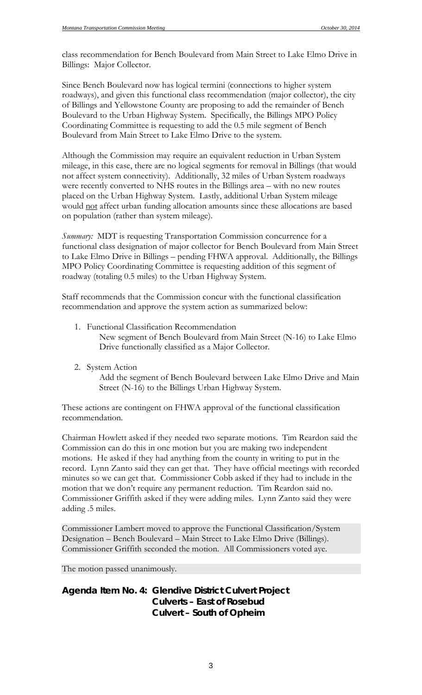class recommendation for Bench Boulevard from Main Street to Lake Elmo Drive in Billings: Major Collector.

Since Bench Boulevard now has logical termini (connections to higher system roadways), and given this functional class recommendation (major collector), the city of Billings and Yellowstone County are proposing to add the remainder of Bench Boulevard to the Urban Highway System. Specifically, the Billings MPO Policy Coordinating Committee is requesting to add the 0.5 mile segment of Bench Boulevard from Main Street to Lake Elmo Drive to the system.

Although the Commission may require an equivalent reduction in Urban System mileage, in this case, there are no logical segments for removal in Billings (that would not affect system connectivity). Additionally, 32 miles of Urban System roadways were recently converted to NHS routes in the Billings area – with no new routes placed on the Urban Highway System. Lastly, additional Urban System mileage would not affect urban funding allocation amounts since these allocations are based on population (rather than system mileage).

*Summary:* MDT is requesting Transportation Commission concurrence for a functional class designation of major collector for Bench Boulevard from Main Street to Lake Elmo Drive in Billings – pending FHWA approval. Additionally, the Billings MPO Policy Coordinating Committee is requesting addition of this segment of roadway (totaling 0.5 miles) to the Urban Highway System.

Staff recommends that the Commission concur with the functional classification recommendation and approve the system action as summarized below:

- 1. Functional Classification Recommendation New segment of Bench Boulevard from Main Street (N-16) to Lake Elmo Drive functionally classified as a Major Collector.
- 2. System Action

Add the segment of Bench Boulevard between Lake Elmo Drive and Main Street (N-16) to the Billings Urban Highway System.

These actions are contingent on FHWA approval of the functional classification recommendation.

Chairman Howlett asked if they needed two separate motions. Tim Reardon said the Commission can do this in one motion but you are making two independent motions. He asked if they had anything from the county in writing to put in the record. Lynn Zanto said they can get that. They have official meetings with recorded minutes so we can get that. Commissioner Cobb asked if they had to include in the motion that we don't require any permanent reduction. Tim Reardon said no. Commissioner Griffith asked if they were adding miles. Lynn Zanto said they were adding .5 miles.

Commissioner Lambert moved to approve the Functional Classification/System Designation – Bench Boulevard – Main Street to Lake Elmo Drive (Billings). Commissioner Griffith seconded the motion. All Commissioners voted aye.

The motion passed unanimously.

## *Agenda Item No. 4: Glendive District Culvert Project Culverts – East of Rosebud Culvert – South of Opheim*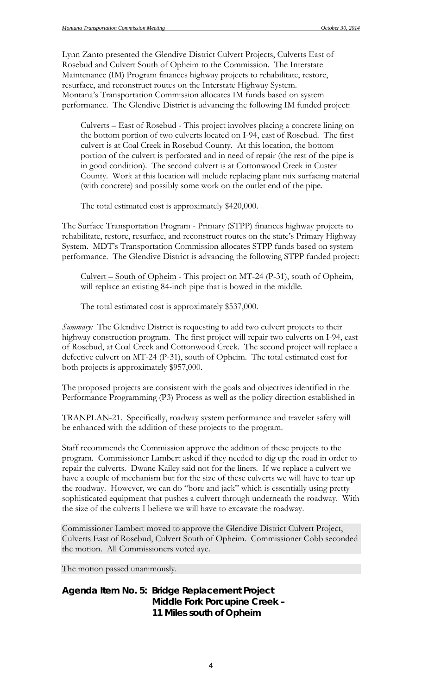Lynn Zanto presented the Glendive District Culvert Projects, Culverts East of Rosebud and Culvert South of Opheim to the Commission. The Interstate Maintenance (IM) Program finances highway projects to rehabilitate, restore, resurface, and reconstruct routes on the Interstate Highway System. Montana's Transportation Commission allocates IM funds based on system performance. The Glendive District is advancing the following IM funded project:

Culverts – East of Rosebud - This project involves placing a concrete lining on the bottom portion of two culverts located on I-94, east of Rosebud. The first culvert is at Coal Creek in Rosebud County. At this location, the bottom portion of the culvert is perforated and in need of repair (the rest of the pipe is in good condition). The second culvert is at Cottonwood Creek in Custer County. Work at this location will include replacing plant mix surfacing material (with concrete) and possibly some work on the outlet end of the pipe.

The total estimated cost is approximately \$420,000.

The Surface Transportation Program - Primary (STPP) finances highway projects to rehabilitate, restore, resurface, and reconstruct routes on the state's Primary Highway System. MDT's Transportation Commission allocates STPP funds based on system performance. The Glendive District is advancing the following STPP funded project:

Culvert – South of Opheim - This project on MT-24 (P-31), south of Opheim, will replace an existing 84-inch pipe that is bowed in the middle.

The total estimated cost is approximately \$537,000.

*Summary:* The Glendive District is requesting to add two culvert projects to their highway construction program. The first project will repair two culverts on I-94, east of Rosebud, at Coal Creek and Cottonwood Creek. The second project will replace a defective culvert on MT-24 (P-31), south of Opheim. The total estimated cost for both projects is approximately \$957,000.

The proposed projects are consistent with the goals and objectives identified in the Performance Programming (P3) Process as well as the policy direction established in

TRANPLAN-21. Specifically, roadway system performance and traveler safety will be enhanced with the addition of these projects to the program.

Staff recommends the Commission approve the addition of these projects to the program. Commissioner Lambert asked if they needed to dig up the road in order to repair the culverts. Dwane Kailey said not for the liners. If we replace a culvert we have a couple of mechanism but for the size of these culverts we will have to tear up the roadway. However, we can do "bore and jack" which is essentially using pretty sophisticated equipment that pushes a culvert through underneath the roadway. With the size of the culverts I believe we will have to excavate the roadway.

Commissioner Lambert moved to approve the Glendive District Culvert Project, Culverts East of Rosebud, Culvert South of Opheim. Commissioner Cobb seconded the motion. All Commissioners voted aye.

The motion passed unanimously.

## *Agenda Item No. 5: Bridge Replacement Project Middle Fork Porcupine Creek – 11 Miles south of Opheim*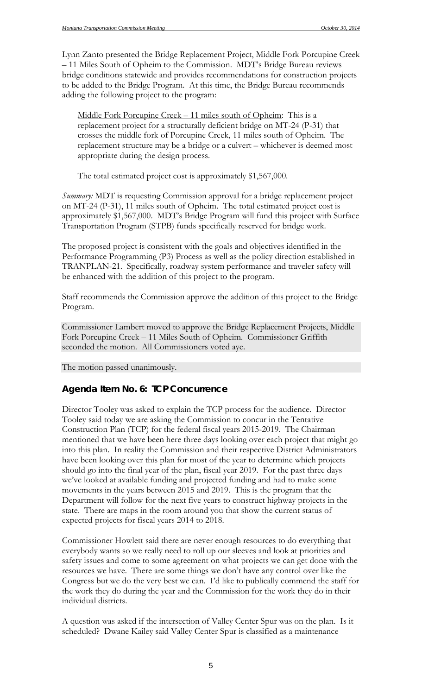Lynn Zanto presented the Bridge Replacement Project, Middle Fork Porcupine Creek – 11 Miles South of Opheim to the Commission.MDT's Bridge Bureau reviews bridge conditions statewide and provides recommendations for construction projects to be added to the Bridge Program. At this time, the Bridge Bureau recommends adding the following project to the program:

Middle Fork Porcupine Creek – 11 miles south of Opheim: This is a replacement project for a structurally deficient bridge on MT-24 (P-31) that crosses the middle fork of Porcupine Creek, 11 miles south of Opheim. The replacement structure may be a bridge or a culvert – whichever is deemed most appropriate during the design process.

The total estimated project cost is approximately \$1,567,000.

*Summary:* MDT is requesting Commission approval for a bridge replacement project on MT-24 (P-31), 11 miles south of Opheim. The total estimated project cost is approximately \$1,567,000. MDT's Bridge Program will fund this project with Surface Transportation Program (STPB) funds specifically reserved for bridge work.

The proposed project is consistent with the goals and objectives identified in the Performance Programming (P3) Process as well as the policy direction established in TRANPLAN-21. Specifically, roadway system performance and traveler safety will be enhanced with the addition of this project to the program.

Staff recommends the Commission approve the addition of this project to the Bridge Program.

Commissioner Lambert moved to approve the Bridge Replacement Projects, Middle Fork Porcupine Creek – 11 Miles South of Opheim. Commissioner Griffith seconded the motion. All Commissioners voted aye.

The motion passed unanimously.

### *Agenda Item No. 6: TCP Concurrence*

Director Tooley was asked to explain the TCP process for the audience. Director Tooley said today we are asking the Commission to concur in the Tentative Construction Plan (TCP) for the federal fiscal years 2015-2019. The Chairman mentioned that we have been here three days looking over each project that might go into this plan. In reality the Commission and their respective District Administrators have been looking over this plan for most of the year to determine which projects should go into the final year of the plan, fiscal year 2019. For the past three days we've looked at available funding and projected funding and had to make some movements in the years between 2015 and 2019. This is the program that the Department will follow for the next five years to construct highway projects in the state. There are maps in the room around you that show the current status of expected projects for fiscal years 2014 to 2018.

Commissioner Howlett said there are never enough resources to do everything that everybody wants so we really need to roll up our sleeves and look at priorities and safety issues and come to some agreement on what projects we can get done with the resources we have. There are some things we don't have any control over like the Congress but we do the very best we can. I'd like to publically commend the staff for the work they do during the year and the Commission for the work they do in their individual districts.

A question was asked if the intersection of Valley Center Spur was on the plan. Is it scheduled? Dwane Kailey said Valley Center Spur is classified as a maintenance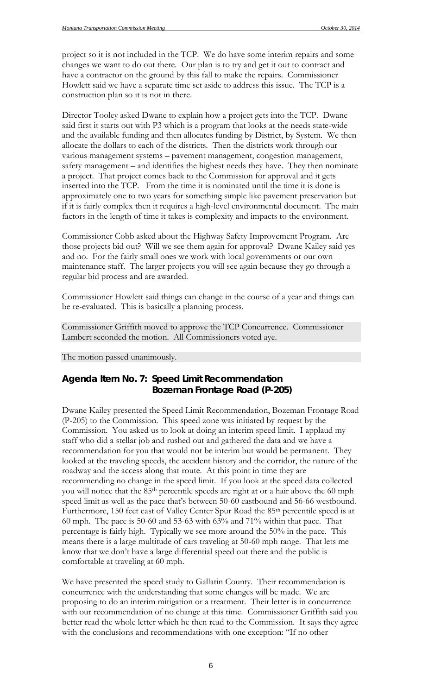project so it is not included in the TCP. We do have some interim repairs and some changes we want to do out there. Our plan is to try and get it out to contract and have a contractor on the ground by this fall to make the repairs. Commissioner Howlett said we have a separate time set aside to address this issue. The TCP is a construction plan so it is not in there.

Director Tooley asked Dwane to explain how a project gets into the TCP. Dwane said first it starts out with P3 which is a program that looks at the needs state-wide and the available funding and then allocates funding by District, by System. We then allocate the dollars to each of the districts. Then the districts work through our various management systems – pavement management, congestion management, safety management – and identifies the highest needs they have. They then nominate a project. That project comes back to the Commission for approval and it gets inserted into the TCP. From the time it is nominated until the time it is done is approximately one to two years for something simple like pavement preservation but if it is fairly complex then it requires a high-level environmental document. The main factors in the length of time it takes is complexity and impacts to the environment.

Commissioner Cobb asked about the Highway Safety Improvement Program. Are those projects bid out? Will we see them again for approval? Dwane Kailey said yes and no. For the fairly small ones we work with local governments or our own maintenance staff. The larger projects you will see again because they go through a regular bid process and are awarded.

Commissioner Howlett said things can change in the course of a year and things can be re-evaluated. This is basically a planning process.

Commissioner Griffith moved to approve the TCP Concurrence. Commissioner Lambert seconded the motion. All Commissioners voted aye.

The motion passed unanimously.

## *Agenda Item No. 7: Speed Limit Recommendation Bozeman Frontage Road (P-205)*

Dwane Kailey presented the Speed Limit Recommendation, Bozeman Frontage Road (P-205) to the Commission. This speed zone was initiated by request by the Commission. You asked us to look at doing an interim speed limit. I applaud my staff who did a stellar job and rushed out and gathered the data and we have a recommendation for you that would not be interim but would be permanent. They looked at the traveling speeds, the accident history and the corridor, the nature of the roadway and the access along that route. At this point in time they are recommending no change in the speed limit. If you look at the speed data collected you will notice that the 85th percentile speeds are right at or a hair above the 60 mph speed limit as well as the pace that's between 50-60 eastbound and 56-66 westbound. Furthermore, 150 feet east of Valley Center Spur Road the 85<sup>th</sup> percentile speed is at 60 mph. The pace is 50-60 and 53-63 with 63% and 71% within that pace. That percentage is fairly high. Typically we see more around the 50% in the pace. This means there is a large multitude of cars traveling at 50-60 mph range. That lets me know that we don't have a large differential speed out there and the public is comfortable at traveling at 60 mph.

We have presented the speed study to Gallatin County. Their recommendation is concurrence with the understanding that some changes will be made. We are proposing to do an interim mitigation or a treatment. Their letter is in concurrence with our recommendation of no change at this time. Commissioner Griffith said you better read the whole letter which he then read to the Commission. It says they agree with the conclusions and recommendations with one exception: "If no other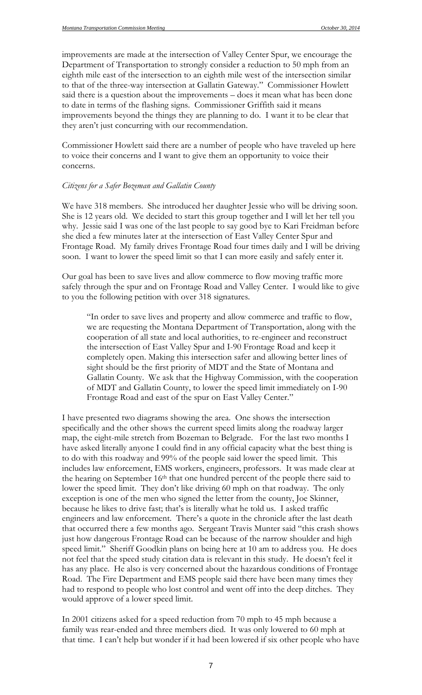improvements are made at the intersection of Valley Center Spur, we encourage the Department of Transportation to strongly consider a reduction to 50 mph from an eighth mile east of the intersection to an eighth mile west of the intersection similar to that of the three-way intersection at Gallatin Gateway." Commissioner Howlett said there is a question about the improvements – does it mean what has been done to date in terms of the flashing signs. Commissioner Griffith said it means improvements beyond the things they are planning to do. I want it to be clear that they aren't just concurring with our recommendation.

Commissioner Howlett said there are a number of people who have traveled up here to voice their concerns and I want to give them an opportunity to voice their concerns.

#### *Citizens for a Safer Bozeman and Gallatin County*

We have 318 members. She introduced her daughter Jessie who will be driving soon. She is 12 years old. We decided to start this group together and I will let her tell you why. Jessie said I was one of the last people to say good bye to Kari Freidman before she died a few minutes later at the intersection of East Valley Center Spur and Frontage Road. My family drives Frontage Road four times daily and I will be driving soon. I want to lower the speed limit so that I can more easily and safely enter it.

Our goal has been to save lives and allow commerce to flow moving traffic more safely through the spur and on Frontage Road and Valley Center. I would like to give to you the following petition with over 318 signatures.

"In order to save lives and property and allow commerce and traffic to flow, we are requesting the Montana Department of Transportation, along with the cooperation of all state and local authorities, to re-engineer and reconstruct the intersection of East Valley Spur and I-90 Frontage Road and keep it completely open. Making this intersection safer and allowing better lines of sight should be the first priority of MDT and the State of Montana and Gallatin County. We ask that the Highway Commission, with the cooperation of MDT and Gallatin County, to lower the speed limit immediately on I-90 Frontage Road and east of the spur on East Valley Center."

I have presented two diagrams showing the area. One shows the intersection specifically and the other shows the current speed limits along the roadway larger map, the eight-mile stretch from Bozeman to Belgrade. For the last two months I have asked literally anyone I could find in any official capacity what the best thing is to do with this roadway and 99% of the people said lower the speed limit. This includes law enforcement, EMS workers, engineers, professors. It was made clear at the hearing on September 16<sup>th</sup> that one hundred percent of the people there said to lower the speed limit. They don't like driving 60 mph on that roadway. The only exception is one of the men who signed the letter from the county, Joe Skinner, because he likes to drive fast; that's is literally what he told us. I asked traffic engineers and law enforcement. There's a quote in the chronicle after the last death that occurred there a few months ago. Sergeant Travis Munter said "this crash shows just how dangerous Frontage Road can be because of the narrow shoulder and high speed limit." Sheriff Goodkin plans on being here at 10 am to address you. He does not feel that the speed study citation data is relevant in this study. He doesn't feel it has any place. He also is very concerned about the hazardous conditions of Frontage Road. The Fire Department and EMS people said there have been many times they had to respond to people who lost control and went off into the deep ditches. They would approve of a lower speed limit.

In 2001 citizens asked for a speed reduction from 70 mph to 45 mph because a family was rear-ended and three members died. It was only lowered to 60 mph at that time. I can't help but wonder if it had been lowered if six other people who have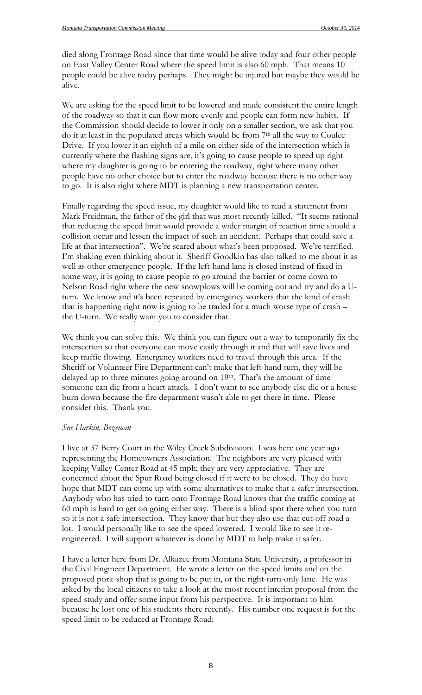died along Frontage Road since that time would be alive today and four other people on East Valley Center Road where the speed limit is also 60 mph. That means 10 people could be alive today perhaps. They might be injured but maybe they would be alive.

We are asking for the speed limit to be lowered and made consistent the entire length of the roadway so that it can flow more evenly and people can form new habits. If the Commission should decide to lower it only on a smaller section, we ask that you do it at least in the populated areas which would be from 7th all the way to Coulee Drive. If you lower it an eighth of a mile on either side of the intersection which is currently where the flashing signs are, it's going to cause people to speed up right where my daughter is going to be entering the roadway, right where many other people have no other choice but to enter the roadway because there is no other way to go. It is also right where MDT is planning a new transportation center.

Finally regarding the speed issue, my daughter would like to read a statement from Mark Freidman, the father of the girl that was most recently killed. "It seems rational that reducing the speed limit would provide a wider margin of reaction time should a collision occur and lessen the impact of such an accident. Perhaps that could save a life at that intersection". We're scared about what's been proposed. We're terrified. I'm shaking even thinking about it. Sheriff Goodkin has also talked to me about it as well as other emergency people. If the left-hand lane is closed instead of fixed in some way, it is going to cause people to go around the barrier or come down to Nelson Road right where the new snowplows will be coming out and try and do a Uturn. We know and it's been repeated by emergency workers that the kind of crash that is happening right now is going to be traded for a much worse type of crash – the U-turn. We really want you to consider that.

We think you can solve this. We think you can figure out a way to temporarily fix the intersection so that everyone can move easily through it and that will save lives and keep traffic flowing. Emergency workers need to travel through this area. If the Sheriff or Volunteer Fire Department can't make that left-hand turn, they will be delayed up to three minutes going around on  $19<sup>th</sup>$ . That's the amount of time someone can die from a heart attack. I don't want to see anybody else die or a house burn down because the fire department wasn't able to get there in time. Please consider this. Thank you.

#### *Sue Harkin, Bozeman*

I live at 37 Berry Court in the Wiley Creek Subdivision. I was here one year ago representing the Homeowners Association. The neighbors are very pleased with keeping Valley Center Road at 45 mph; they are very appreciative. They are concerned about the Spur Road being closed if it were to be closed. They do have hope that MDT can come up with some alternatives to make that a safer intersection. Anybody who has tried to turn onto Frontage Road knows that the traffic coming at 60 mph is hard to get on going either way. There is a blind spot there when you turn so it is not a safe intersection. They know that but they also use that cut-off road a lot. I would personally like to see the speed lowered. I would like to see it reengineered. I will support whatever is done by MDT to help make it safer.

I have a letter here from Dr. Alkazee from Montana State University, a professor in the Civil Engineer Department. He wrote a letter on the speed limits and on the proposed pork-shop that is going to be put in, or the right-turn-only lane. He was asked by the local citizens to take a look at the most recent interim proposal from the speed study and offer some input from his perspective. It is important to him because he lost one of his students there recently. His number one request is for the speed limit to be reduced at Frontage Road: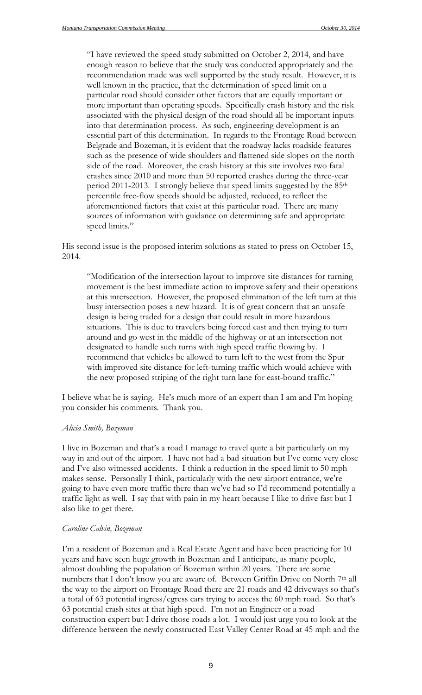"I have reviewed the speed study submitted on October 2, 2014, and have enough reason to believe that the study was conducted appropriately and the recommendation made was well supported by the study result. However, it is well known in the practice, that the determination of speed limit on a particular road should consider other factors that are equally important or more important than operating speeds. Specifically crash history and the risk associated with the physical design of the road should all be important inputs into that determination process. As such, engineering development is an essential part of this determination. In regards to the Frontage Road between Belgrade and Bozeman, it is evident that the roadway lacks roadside features such as the presence of wide shoulders and flattened side slopes on the north side of the road. Moreover, the crash history at this site involves two fatal crashes since 2010 and more than 50 reported crashes during the three-year period 2011-2013. I strongly believe that speed limits suggested by the 85th percentile free-flow speeds should be adjusted, reduced, to reflect the aforementioned factors that exist at this particular road. There are many sources of information with guidance on determining safe and appropriate speed limits."

His second issue is the proposed interim solutions as stated to press on October 15, 2014.

"Modification of the intersection layout to improve site distances for turning movement is the best immediate action to improve safety and their operations at this intersection. However, the proposed elimination of the left turn at this busy intersection poses a new hazard. It is of great concern that an unsafe design is being traded for a design that could result in more hazardous situations. This is due to travelers being forced east and then trying to turn around and go west in the middle of the highway or at an intersection not designated to handle such turns with high speed traffic flowing by. I recommend that vehicles be allowed to turn left to the west from the Spur with improved site distance for left-turning traffic which would achieve with the new proposed striping of the right turn lane for east-bound traffic."

I believe what he is saying. He's much more of an expert than I am and I'm hoping you consider his comments. Thank you.

#### *Alicia Smith, Bozeman*

I live in Bozeman and that's a road I manage to travel quite a bit particularly on my way in and out of the airport. I have not had a bad situation but I've come very close and I've also witnessed accidents. I think a reduction in the speed limit to 50 mph makes sense. Personally I think, particularly with the new airport entrance, we're going to have even more traffic there than we've had so I'd recommend potentially a traffic light as well. I say that with pain in my heart because I like to drive fast but I also like to get there.

#### *Caroline Calvin, Bozeman*

I'm a resident of Bozeman and a Real Estate Agent and have been practicing for 10 years and have seen huge growth in Bozeman and I anticipate, as many people, almost doubling the population of Bozeman within 20 years. There are some numbers that I don't know you are aware of. Between Griffin Drive on North 7<sup>th</sup> all the way to the airport on Frontage Road there are 21 roads and 42 driveways so that's a total of 63 potential ingress/egress cars trying to access the 60 mph road. So that's 63 potential crash sites at that high speed. I'm not an Engineer or a road construction expert but I drive those roads a lot. I would just urge you to look at the difference between the newly constructed East Valley Center Road at 45 mph and the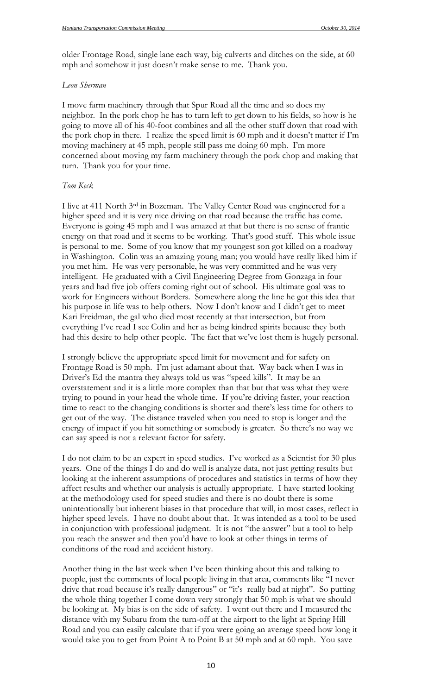older Frontage Road, single lane each way, big culverts and ditches on the side, at 60 mph and somehow it just doesn't make sense to me. Thank you.

#### *Leon Sherman*

I move farm machinery through that Spur Road all the time and so does my neighbor. In the pork chop he has to turn left to get down to his fields, so how is he going to move all of his 40-foot combines and all the other stuff down that road with the pork chop in there. I realize the speed limit is 60 mph and it doesn't matter if I'm moving machinery at 45 mph, people still pass me doing 60 mph. I'm more concerned about moving my farm machinery through the pork chop and making that turn. Thank you for your time.

#### *Tom Keck*

I live at 411 North 3rd in Bozeman. The Valley Center Road was engineered for a higher speed and it is very nice driving on that road because the traffic has come. Everyone is going 45 mph and I was amazed at that but there is no sense of frantic energy on that road and it seems to be working. That's good stuff. This whole issue is personal to me. Some of you know that my youngest son got killed on a roadway in Washington. Colin was an amazing young man; you would have really liked him if you met him. He was very personable, he was very committed and he was very intelligent. He graduated with a Civil Engineering Degree from Gonzaga in four years and had five job offers coming right out of school. His ultimate goal was to work for Engineers without Borders. Somewhere along the line he got this idea that his purpose in life was to help others. Now I don't know and I didn't get to meet Kari Freidman, the gal who died most recently at that intersection, but from everything I've read I see Colin and her as being kindred spirits because they both had this desire to help other people. The fact that we've lost them is hugely personal.

I strongly believe the appropriate speed limit for movement and for safety on Frontage Road is 50 mph. I'm just adamant about that. Way back when I was in Driver's Ed the mantra they always told us was "speed kills". It may be an overstatement and it is a little more complex than that but that was what they were trying to pound in your head the whole time. If you're driving faster, your reaction time to react to the changing conditions is shorter and there's less time for others to get out of the way. The distance traveled when you need to stop is longer and the energy of impact if you hit something or somebody is greater. So there's no way we can say speed is not a relevant factor for safety.

I do not claim to be an expert in speed studies. I've worked as a Scientist for 30 plus years. One of the things I do and do well is analyze data, not just getting results but looking at the inherent assumptions of procedures and statistics in terms of how they affect results and whether our analysis is actually appropriate. I have started looking at the methodology used for speed studies and there is no doubt there is some unintentionally but inherent biases in that procedure that will, in most cases, reflect in higher speed levels. I have no doubt about that. It was intended as a tool to be used in conjunction with professional judgment. It is not "the answer" but a tool to help you reach the answer and then you'd have to look at other things in terms of conditions of the road and accident history.

Another thing in the last week when I've been thinking about this and talking to people, just the comments of local people living in that area, comments like "I never drive that road because it's really dangerous" or "it's really bad at night". So putting the whole thing together I come down very strongly that 50 mph is what we should be looking at. My bias is on the side of safety. I went out there and I measured the distance with my Subaru from the turn-off at the airport to the light at Spring Hill Road and you can easily calculate that if you were going an average speed how long it would take you to get from Point A to Point B at 50 mph and at 60 mph. You save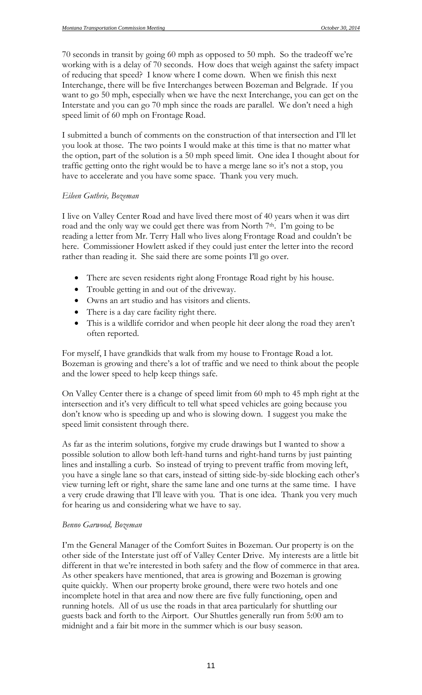70 seconds in transit by going 60 mph as opposed to 50 mph. So the tradeoff we're working with is a delay of 70 seconds. How does that weigh against the safety impact of reducing that speed? I know where I come down. When we finish this next Interchange, there will be five Interchanges between Bozeman and Belgrade. If you want to go 50 mph, especially when we have the next Interchange, you can get on the Interstate and you can go 70 mph since the roads are parallel. We don't need a high speed limit of 60 mph on Frontage Road.

I submitted a bunch of comments on the construction of that intersection and I'll let you look at those. The two points I would make at this time is that no matter what the option, part of the solution is a 50 mph speed limit. One idea I thought about for traffic getting onto the right would be to have a merge lane so it's not a stop, you have to accelerate and you have some space. Thank you very much.

#### *Eileen Guthrie, Bozeman*

I live on Valley Center Road and have lived there most of 40 years when it was dirt road and the only way we could get there was from North 7<sup>th</sup>. I'm going to be reading a letter from Mr. Terry Hall who lives along Frontage Road and couldn't be here. Commissioner Howlett asked if they could just enter the letter into the record rather than reading it. She said there are some points I'll go over.

- There are seven residents right along Frontage Road right by his house.
- Trouble getting in and out of the driveway.
- Owns an art studio and has visitors and clients.
- There is a day care facility right there.
- This is a wildlife corridor and when people hit deer along the road they aren't often reported.

For myself, I have grandkids that walk from my house to Frontage Road a lot. Bozeman is growing and there's a lot of traffic and we need to think about the people and the lower speed to help keep things safe.

On Valley Center there is a change of speed limit from 60 mph to 45 mph right at the intersection and it's very difficult to tell what speed vehicles are going because you don't know who is speeding up and who is slowing down. I suggest you make the speed limit consistent through there.

As far as the interim solutions, forgive my crude drawings but I wanted to show a possible solution to allow both left-hand turns and right-hand turns by just painting lines and installing a curb. So instead of trying to prevent traffic from moving left, you have a single lane so that cars, instead of sitting side-by-side blocking each other's view turning left or right, share the same lane and one turns at the same time. I have a very crude drawing that I'll leave with you. That is one idea. Thank you very much for hearing us and considering what we have to say.

#### *Benno Garwood, Bozeman*

I'm the General Manager of the Comfort Suites in Bozeman. Our property is on the other side of the Interstate just off of Valley Center Drive. My interests are a little bit different in that we're interested in both safety and the flow of commerce in that area. As other speakers have mentioned, that area is growing and Bozeman is growing quite quickly. When our property broke ground, there were two hotels and one incomplete hotel in that area and now there are five fully functioning, open and running hotels. All of us use the roads in that area particularly for shuttling our guests back and forth to the Airport. Our Shuttles generally run from 5:00 am to midnight and a fair bit more in the summer which is our busy season.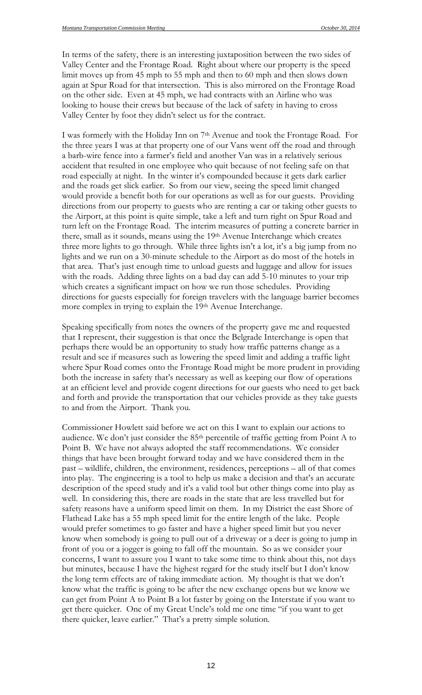In terms of the safety, there is an interesting juxtaposition between the two sides of Valley Center and the Frontage Road. Right about where our property is the speed limit moves up from 45 mph to 55 mph and then to 60 mph and then slows down again at Spur Road for that intersection. This is also mirrored on the Frontage Road on the other side. Even at 45 mph, we had contracts with an Airline who was looking to house their crews but because of the lack of safety in having to cross Valley Center by foot they didn't select us for the contract.

I was formerly with the Holiday Inn on 7th Avenue and took the Frontage Road. For the three years I was at that property one of our Vans went off the road and through a barb-wire fence into a farmer's field and another Van was in a relatively serious accident that resulted in one employee who quit because of not feeling safe on that road especially at night. In the winter it's compounded because it gets dark earlier and the roads get slick earlier. So from our view, seeing the speed limit changed would provide a benefit both for our operations as well as for our guests. Providing directions from our property to guests who are renting a car or taking other guests to the Airport, at this point is quite simple, take a left and turn right on Spur Road and turn left on the Frontage Road. The interim measures of putting a concrete barrier in there, small as it sounds, means using the 19th Avenue Interchange which creates three more lights to go through. While three lights isn't a lot, it's a big jump from no lights and we run on a 30-minute schedule to the Airport as do most of the hotels in that area. That's just enough time to unload guests and luggage and allow for issues with the roads. Adding three lights on a bad day can add 5-10 minutes to your trip which creates a significant impact on how we run those schedules. Providing directions for guests especially for foreign travelers with the language barrier becomes more complex in trying to explain the 19<sup>th</sup> Avenue Interchange.

Speaking specifically from notes the owners of the property gave me and requested that I represent, their suggestion is that once the Belgrade Interchange is open that perhaps there would be an opportunity to study how traffic patterns change as a result and see if measures such as lowering the speed limit and adding a traffic light where Spur Road comes onto the Frontage Road might be more prudent in providing both the increase in safety that's necessary as well as keeping our flow of operations at an efficient level and provide cogent directions for our guests who need to get back and forth and provide the transportation that our vehicles provide as they take guests to and from the Airport. Thank you.

Commissioner Howlett said before we act on this I want to explain our actions to audience. We don't just consider the 85<sup>th</sup> percentile of traffic getting from Point A to Point B. We have not always adopted the staff recommendations. We consider things that have been brought forward today and we have considered them in the past – wildlife, children, the environment, residences, perceptions – all of that comes into play. The engineering is a tool to help us make a decision and that's an accurate description of the speed study and it's a valid tool but other things come into play as well. In considering this, there are roads in the state that are less travelled but for safety reasons have a uniform speed limit on them. In my District the east Shore of Flathead Lake has a 55 mph speed limit for the entire length of the lake. People would prefer sometimes to go faster and have a higher speed limit but you never know when somebody is going to pull out of a driveway or a deer is going to jump in front of you or a jogger is going to fall off the mountain. So as we consider your concerns, I want to assure you I want to take some time to think about this, not days but minutes, because I have the highest regard for the study itself but I don't know the long term effects are of taking immediate action. My thought is that we don't know what the traffic is going to be after the new exchange opens but we know we can get from Point A to Point B a lot faster by going on the Interstate if you want to get there quicker. One of my Great Uncle's told me one time "if you want to get there quicker, leave earlier." That's a pretty simple solution.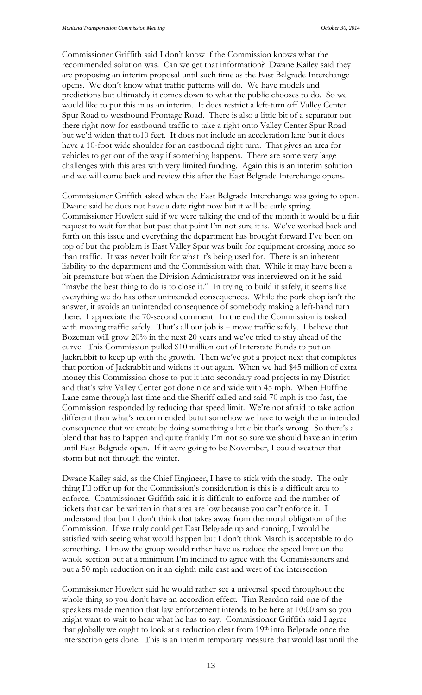Commissioner Griffith said I don't know if the Commission knows what the recommended solution was. Can we get that information? Dwane Kailey said they are proposing an interim proposal until such time as the East Belgrade Interchange opens. We don't know what traffic patterns will do. We have models and predictions but ultimately it comes down to what the public chooses to do. So we would like to put this in as an interim. It does restrict a left-turn off Valley Center Spur Road to westbound Frontage Road. There is also a little bit of a separator out there right now for eastbound traffic to take a right onto Valley Center Spur Road but we'd widen that to10 feet. It does not include an acceleration lane but it does have a 10-foot wide shoulder for an eastbound right turn. That gives an area for vehicles to get out of the way if something happens. There are some very large challenges with this area with very limited funding. Again this is an interim solution and we will come back and review this after the East Belgrade Interchange opens.

Commissioner Griffith asked when the East Belgrade Interchange was going to open. Dwane said he does not have a date right now but it will be early spring. Commissioner Howlett said if we were talking the end of the month it would be a fair request to wait for that but past that point I'm not sure it is. We've worked back and forth on this issue and everything the department has brought forward I've been on top of but the problem is East Valley Spur was built for equipment crossing more so than traffic. It was never built for what it's being used for. There is an inherent liability to the department and the Commission with that. While it may have been a bit premature but when the Division Administrator was interviewed on it he said "maybe the best thing to do is to close it." In trying to build it safely, it seems like everything we do has other unintended consequences. While the pork chop isn't the answer, it avoids an unintended consequence of somebody making a left-hand turn there. I appreciate the 70-second comment. In the end the Commission is tasked with moving traffic safely. That's all our job is – move traffic safely. I believe that Bozeman will grow 20% in the next 20 years and we've tried to stay ahead of the curve. This Commission pulled \$10 million out of Interstate Funds to put on Jackrabbit to keep up with the growth. Then we've got a project next that completes that portion of Jackrabbit and widens it out again. When we had \$45 million of extra money this Commission chose to put it into secondary road projects in my District and that's why Valley Center got done nice and wide with 45 mph. When Huffine Lane came through last time and the Sheriff called and said 70 mph is too fast, the Commission responded by reducing that speed limit. We're not afraid to take action different than what's recommended butut somehow we have to weigh the unintended consequence that we create by doing something a little bit that's wrong. So there's a blend that has to happen and quite frankly I'm not so sure we should have an interim until East Belgrade open. If it were going to be November, I could weather that storm but not through the winter.

Dwane Kailey said, as the Chief Engineer, I have to stick with the study. The only thing I'll offer up for the Commission's consideration is this is a difficult area to enforce. Commissioner Griffith said it is difficult to enforce and the number of tickets that can be written in that area are low because you can't enforce it. I understand that but I don't think that takes away from the moral obligation of the Commission. If we truly could get East Belgrade up and running, I would be satisfied with seeing what would happen but I don't think March is acceptable to do something. I know the group would rather have us reduce the speed limit on the whole section but at a minimum I'm inclined to agree with the Commissioners and put a 50 mph reduction on it an eighth mile east and west of the intersection.

Commissioner Howlett said he would rather see a universal speed throughout the whole thing so you don't have an accordion effect. Tim Reardon said one of the speakers made mention that law enforcement intends to be here at 10:00 am so you might want to wait to hear what he has to say. Commissioner Griffith said I agree that globally we ought to look at a reduction clear from 19th into Belgrade once the intersection gets done. This is an interim temporary measure that would last until the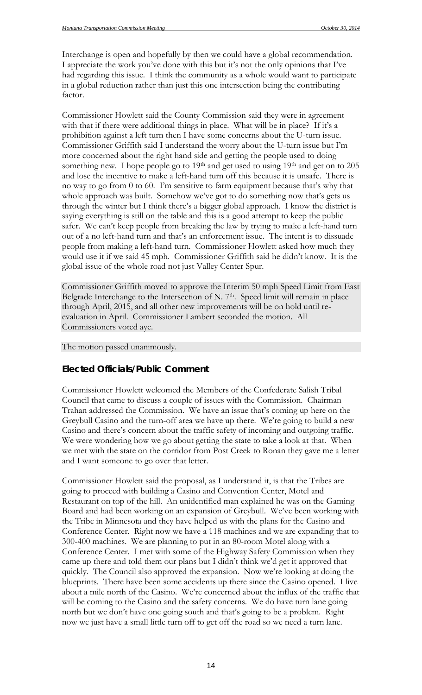Interchange is open and hopefully by then we could have a global recommendation. I appreciate the work you've done with this but it's not the only opinions that I've had regarding this issue. I think the community as a whole would want to participate in a global reduction rather than just this one intersection being the contributing factor.

Commissioner Howlett said the County Commission said they were in agreement with that if there were additional things in place. What will be in place? If it's a prohibition against a left turn then I have some concerns about the U-turn issue. Commissioner Griffith said I understand the worry about the U-turn issue but I'm more concerned about the right hand side and getting the people used to doing something new. I hope people go to  $19<sup>th</sup>$  and get used to using  $19<sup>th</sup>$  and get on to  $205$ and lose the incentive to make a left-hand turn off this because it is unsafe. There is no way to go from 0 to 60. I'm sensitive to farm equipment because that's why that whole approach was built. Somehow we've got to do something now that's gets us through the winter but I think there's a bigger global approach. I know the district is saying everything is still on the table and this is a good attempt to keep the public safer. We can't keep people from breaking the law by trying to make a left-hand turn out of a no left-hand turn and that's an enforcement issue. The intent is to dissuade people from making a left-hand turn. Commissioner Howlett asked how much they would use it if we said 45 mph. Commissioner Griffith said he didn't know. It is the global issue of the whole road not just Valley Center Spur.

Commissioner Griffith moved to approve the Interim 50 mph Speed Limit from East Belgrade Interchange to the Intersection of N.  $7<sup>th</sup>$ . Speed limit will remain in place through April, 2015, and all other new improvements will be on hold until reevaluation in April. Commissioner Lambert seconded the motion. All Commissioners voted aye.

The motion passed unanimously.

### *Elected Officials/Public Comment*

Commissioner Howlett welcomed the Members of the Confederate Salish Tribal Council that came to discuss a couple of issues with the Commission. Chairman Trahan addressed the Commission. We have an issue that's coming up here on the Greybull Casino and the turn-off area we have up there. We're going to build a new Casino and there's concern about the traffic safety of incoming and outgoing traffic. We were wondering how we go about getting the state to take a look at that. When we met with the state on the corridor from Post Creek to Ronan they gave me a letter and I want someone to go over that letter.

Commissioner Howlett said the proposal, as I understand it, is that the Tribes are going to proceed with building a Casino and Convention Center, Motel and Restaurant on top of the hill. An unidentified man explained he was on the Gaming Board and had been working on an expansion of Greybull. We've been working with the Tribe in Minnesota and they have helped us with the plans for the Casino and Conference Center. Right now we have a 118 machines and we are expanding that to 300-400 machines. We are planning to put in an 80-room Motel along with a Conference Center. I met with some of the Highway Safety Commission when they came up there and told them our plans but I didn't think we'd get it approved that quickly. The Council also approved the expansion. Now we're looking at doing the blueprints. There have been some accidents up there since the Casino opened. I live about a mile north of the Casino. We're concerned about the influx of the traffic that will be coming to the Casino and the safety concerns. We do have turn lane going north but we don't have one going south and that's going to be a problem. Right now we just have a small little turn off to get off the road so we need a turn lane.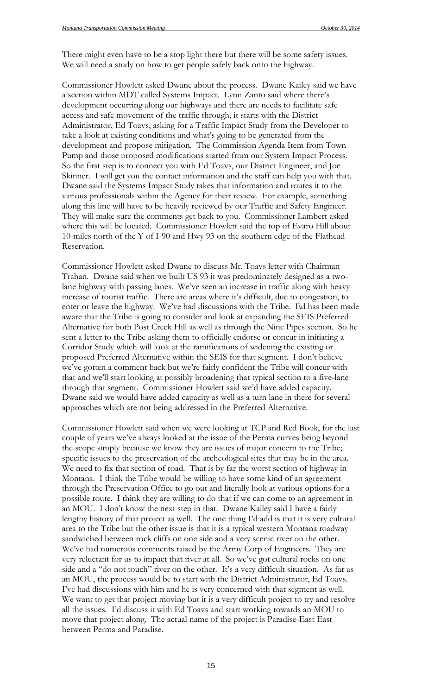There might even have to be a stop light there but there will be some safety issues. We will need a study on how to get people safely back onto the highway.

Commissioner Howlett asked Dwane about the process. Dwane Kailey said we have a section within MDT called Systems Impact. Lynn Zanto said where there's development occurring along our highways and there are needs to facilitate safe access and safe movement of the traffic through, it starts with the District Administrator, Ed Toavs, asking for a Traffic Impact Study from the Developer to take a look at existing conditions and what's going to be generated from the development and propose mitigation. The Commission Agenda Item from Town Pump and those proposed modifications started from our System Impact Process. So the first step is to connect you with Ed Toavs, our District Engineer, and Joe Skinner. I will get you the contact information and the staff can help you with that. Dwane said the Systems Impact Study takes that information and routes it to the various professionals within the Agency for their review. For example, something along this line will have to be heavily reviewed by our Traffic and Safety Engineer. They will make sure the comments get back to you. Commissioner Lambert asked where this will be located. Commissioner Howlett said the top of Evaro Hill about 10-miles north of the Y of I-90 and Hwy 93 on the southern edge of the Flathead Reservation.

Commissioner Howlett asked Dwane to discuss Mr. Toavs letter with Chairman Trahan. Dwane said when we built US 93 it was predominately designed as a twolane highway with passing lanes. We've seen an increase in traffic along with heavy increase of tourist traffic. There are areas where it's difficult, due to congestion, to enter or leave the highway. We've had discussions with the Tribe. Ed has been made aware that the Tribe is going to consider and look at expanding the SEIS Preferred Alternative for both Post Creek Hill as well as through the Nine Pipes section. So he sent a letter to the Tribe asking them to officially endorse or concur in initiating a Corridor Study which will look at the ramifications of widening the existing or proposed Preferred Alternative within the SEIS for that segment. I don't believe we've gotten a comment back but we're fairly confident the Tribe will concur with that and we'll start looking at possibly broadening that typical section to a five-lane through that segment. Commissioner Howlett said we'd have added capacity. Dwane said we would have added capacity as well as a turn lane in there for several approaches which are not being addressed in the Preferred Alternative.

Commissioner Howlett said when we were looking at TCP and Red Book, for the last couple of years we've always looked at the issue of the Perma curves being beyond the scope simply because we know they are issues of major concern to the Tribe; specific issues to the preservation of the archeological sites that may be in the area. We need to fix that section of road. That is by far the worst section of highway in Montana. I think the Tribe would be willing to have some kind of an agreement through the Preservation Office to go out and literally look at various options for a possible route. I think they are willing to do that if we can come to an agreement in an MOU. I don't know the next step in that. Dwane Kailey said I have a fairly lengthy history of that project as well. The one thing I'd add is that it is very cultural area to the Tribe but the other issue is that it is a typical western Montana roadway sandwiched between rock cliffs on one side and a very scenic river on the other. We've had numerous comments raised by the Army Corp of Engineers. They are very reluctant for us to impact that river at all. So we've got cultural rocks on one side and a "do not touch" river on the other. It's a very difficult situation. As far as an MOU, the process would be to start with the District Administrator, Ed Toavs. I've had discussions with him and he is very concerned with that segment as well. We want to get that project moving but it is a very difficult project to try and resolve all the issues. I'd discuss it with Ed Toavs and start working towards an MOU to move that project along. The actual name of the project is Paradise-East East between Perma and Paradise.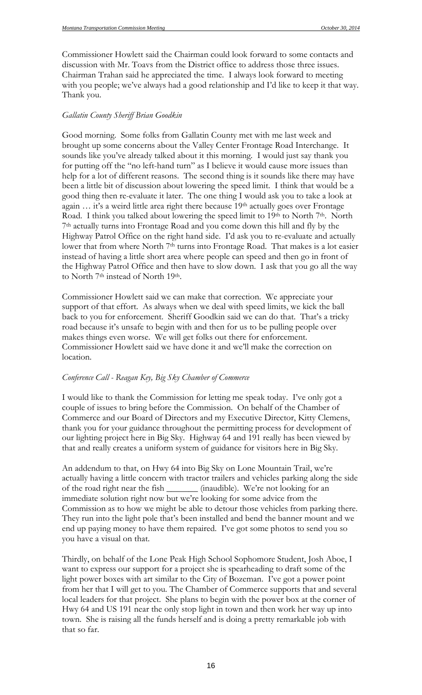Commissioner Howlett said the Chairman could look forward to some contacts and discussion with Mr. Toavs from the District office to address those three issues. Chairman Trahan said he appreciated the time. I always look forward to meeting with you people; we've always had a good relationship and I'd like to keep it that way. Thank you.

#### *Gallatin County Sheriff Brian Goodkin*

Good morning. Some folks from Gallatin County met with me last week and brought up some concerns about the Valley Center Frontage Road Interchange. It sounds like you've already talked about it this morning. I would just say thank you for putting off the "no left-hand turn" as I believe it would cause more issues than help for a lot of different reasons. The second thing is it sounds like there may have been a little bit of discussion about lowering the speed limit. I think that would be a good thing then re-evaluate it later. The one thing I would ask you to take a look at again ... it's a weird little area right there because 19<sup>th</sup> actually goes over Frontage Road. I think you talked about lowering the speed limit to 19th to North 7th. North 7th actually turns into Frontage Road and you come down this hill and fly by the Highway Patrol Office on the right hand side. I'd ask you to re-evaluate and actually lower that from where North 7<sup>th</sup> turns into Frontage Road. That makes is a lot easier instead of having a little short area where people can speed and then go in front of the Highway Patrol Office and then have to slow down. I ask that you go all the way to North 7<sup>th</sup> instead of North 19<sup>th</sup>.

Commissioner Howlett said we can make that correction. We appreciate your support of that effort. As always when we deal with speed limits, we kick the ball back to you for enforcement. Sheriff Goodkin said we can do that. That's a tricky road because it's unsafe to begin with and then for us to be pulling people over makes things even worse. We will get folks out there for enforcement. Commissioner Howlett said we have done it and we'll make the correction on location.

#### *Conference Call - Reagan Key, Big Sky Chamber of Commerce*

I would like to thank the Commission for letting me speak today. I've only got a couple of issues to bring before the Commission. On behalf of the Chamber of Commerce and our Board of Directors and my Executive Director, Kitty Clemens, thank you for your guidance throughout the permitting process for development of our lighting project here in Big Sky. Highway 64 and 191 really has been viewed by that and really creates a uniform system of guidance for visitors here in Big Sky.

An addendum to that, on Hwy 64 into Big Sky on Lone Mountain Trail, we're actually having a little concern with tractor trailers and vehicles parking along the side of the road right near the fish \_\_\_\_\_\_\_ (inaudible). We're not looking for an immediate solution right now but we're looking for some advice from the Commission as to how we might be able to detour those vehicles from parking there. They run into the light pole that's been installed and bend the banner mount and we end up paying money to have them repaired. I've got some photos to send you so you have a visual on that.

Thirdly, on behalf of the Lone Peak High School Sophomore Student, Josh Aboe, I want to express our support for a project she is spearheading to draft some of the light power boxes with art similar to the City of Bozeman. I've got a power point from her that I will get to you. The Chamber of Commerce supports that and several local leaders for that project. She plans to begin with the power box at the corner of Hwy 64 and US 191 near the only stop light in town and then work her way up into town. She is raising all the funds herself and is doing a pretty remarkable job with that so far.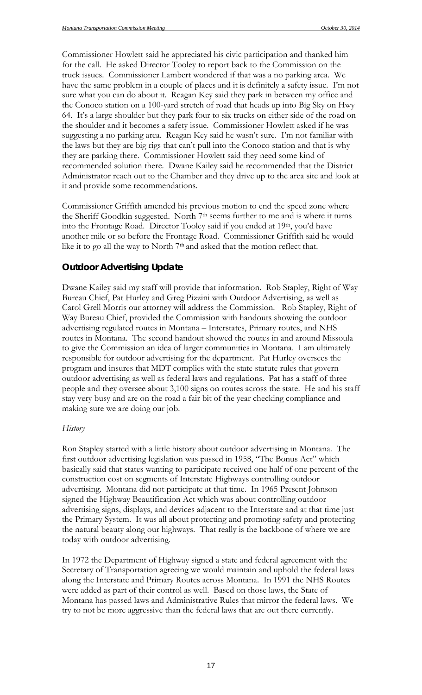Commissioner Howlett said he appreciated his civic participation and thanked him for the call. He asked Director Tooley to report back to the Commission on the truck issues. Commissioner Lambert wondered if that was a no parking area. We have the same problem in a couple of places and it is definitely a safety issue. I'm not sure what you can do about it. Reagan Key said they park in between my office and the Conoco station on a 100-yard stretch of road that heads up into Big Sky on Hwy 64. It's a large shoulder but they park four to six trucks on either side of the road on the shoulder and it becomes a safety issue. Commissioner Howlett asked if he was suggesting a no parking area. Reagan Key said he wasn't sure. I'm not familiar with the laws but they are big rigs that can't pull into the Conoco station and that is why they are parking there. Commissioner Howlett said they need some kind of recommended solution there. Dwane Kailey said he recommended that the District Administrator reach out to the Chamber and they drive up to the area site and look at it and provide some recommendations.

Commissioner Griffith amended his previous motion to end the speed zone where the Sheriff Goodkin suggested. North 7<sup>th</sup> seems further to me and is where it turns into the Frontage Road. Director Tooley said if you ended at 19th, you'd have another mile or so before the Frontage Road. Commissioner Griffith said he would like it to go all the way to North 7<sup>th</sup> and asked that the motion reflect that.

### *Outdoor Advertising Update*

Dwane Kailey said my staff will provide that information. Rob Stapley, Right of Way Bureau Chief, Pat Hurley and Greg Pizzini with Outdoor Advertising, as well as Carol Grell Morris our attorney will address the Commission. Rob Stapley, Right of Way Bureau Chief, provided the Commission with handouts showing the outdoor advertising regulated routes in Montana – Interstates, Primary routes, and NHS routes in Montana. The second handout showed the routes in and around Missoula to give the Commission an idea of larger communities in Montana. I am ultimately responsible for outdoor advertising for the department. Pat Hurley oversees the program and insures that MDT complies with the state statute rules that govern outdoor advertising as well as federal laws and regulations. Pat has a staff of three people and they oversee about 3,100 signs on routes across the state. He and his staff stay very busy and are on the road a fair bit of the year checking compliance and making sure we are doing our job.

#### *History*

Ron Stapley started with a little history about outdoor advertising in Montana. The first outdoor advertising legislation was passed in 1958, "The Bonus Act" which basically said that states wanting to participate received one half of one percent of the construction cost on segments of Interstate Highways controlling outdoor advertising. Montana did not participate at that time. In 1965 Present Johnson signed the Highway Beautification Act which was about controlling outdoor advertising signs, displays, and devices adjacent to the Interstate and at that time just the Primary System. It was all about protecting and promoting safety and protecting the natural beauty along our highways. That really is the backbone of where we are today with outdoor advertising.

In 1972 the Department of Highway signed a state and federal agreement with the Secretary of Transportation agreeing we would maintain and uphold the federal laws along the Interstate and Primary Routes across Montana. In 1991 the NHS Routes were added as part of their control as well. Based on those laws, the State of Montana has passed laws and Administrative Rules that mirror the federal laws. We try to not be more aggressive than the federal laws that are out there currently.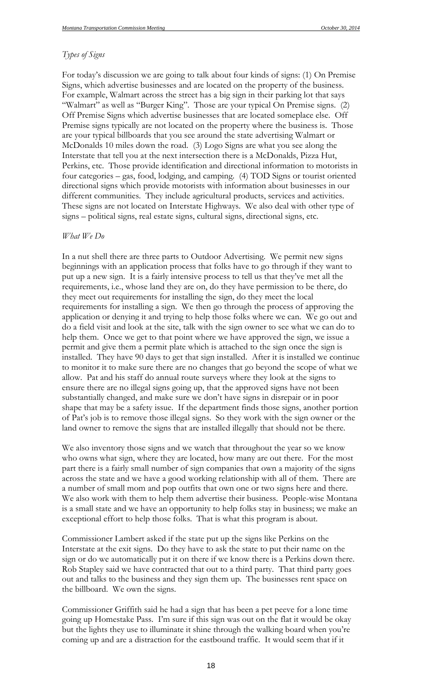#### *Types of Signs*

For today's discussion we are going to talk about four kinds of signs: (1) On Premise Signs, which advertise businesses and are located on the property of the business. For example, Walmart across the street has a big sign in their parking lot that says "Walmart" as well as "Burger King". Those are your typical On Premise signs. (2) Off Premise Signs which advertise businesses that are located someplace else. Off Premise signs typically are not located on the property where the business is. Those are your typical billboards that you see around the state advertising Walmart or McDonalds 10 miles down the road. (3) Logo Signs are what you see along the Interstate that tell you at the next intersection there is a McDonalds, Pizza Hut, Perkins, etc. Those provide identification and directional information to motorists in four categories – gas, food, lodging, and camping. (4) TOD Signs or tourist oriented directional signs which provide motorists with information about businesses in our different communities. They include agricultural products, services and activities. These signs are not located on Interstate Highways. We also deal with other type of signs – political signs, real estate signs, cultural signs, directional signs, etc.

#### *What We Do*

In a nut shell there are three parts to Outdoor Advertising. We permit new signs beginnings with an application process that folks have to go through if they want to put up a new sign. It is a fairly intensive process to tell us that they've met all the requirements, i.e., whose land they are on, do they have permission to be there, do they meet out requirements for installing the sign, do they meet the local requirements for installing a sign. We then go through the process of approving the application or denying it and trying to help those folks where we can. We go out and do a field visit and look at the site, talk with the sign owner to see what we can do to help them. Once we get to that point where we have approved the sign, we issue a permit and give them a permit plate which is attached to the sign once the sign is installed. They have 90 days to get that sign installed. After it is installed we continue to monitor it to make sure there are no changes that go beyond the scope of what we allow. Pat and his staff do annual route surveys where they look at the signs to ensure there are no illegal signs going up, that the approved signs have not been substantially changed, and make sure we don't have signs in disrepair or in poor shape that may be a safety issue. If the department finds those signs, another portion of Pat's job is to remove those illegal signs. So they work with the sign owner or the land owner to remove the signs that are installed illegally that should not be there.

We also inventory those signs and we watch that throughout the year so we know who owns what sign, where they are located, how many are out there. For the most part there is a fairly small number of sign companies that own a majority of the signs across the state and we have a good working relationship with all of them. There are a number of small mom and pop outfits that own one or two signs here and there. We also work with them to help them advertise their business. People-wise Montana is a small state and we have an opportunity to help folks stay in business; we make an exceptional effort to help those folks. That is what this program is about.

Commissioner Lambert asked if the state put up the signs like Perkins on the Interstate at the exit signs. Do they have to ask the state to put their name on the sign or do we automatically put it on there if we know there is a Perkins down there. Rob Stapley said we have contracted that out to a third party. That third party goes out and talks to the business and they sign them up. The businesses rent space on the billboard. We own the signs.

Commissioner Griffith said he had a sign that has been a pet peeve for a lone time going up Homestake Pass. I'm sure if this sign was out on the flat it would be okay but the lights they use to illuminate it shine through the walking board when you're coming up and are a distraction for the eastbound traffic. It would seem that if it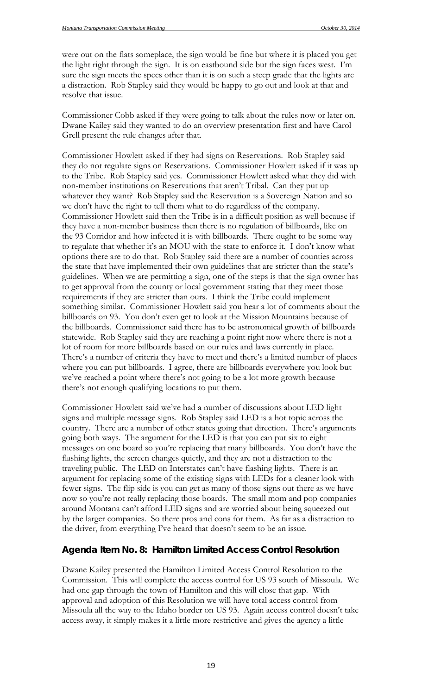were out on the flats someplace, the sign would be fine but where it is placed you get the light right through the sign. It is on eastbound side but the sign faces west. I'm sure the sign meets the specs other than it is on such a steep grade that the lights are a distraction. Rob Stapley said they would be happy to go out and look at that and resolve that issue.

Commissioner Cobb asked if they were going to talk about the rules now or later on. Dwane Kailey said they wanted to do an overview presentation first and have Carol Grell present the rule changes after that.

Commissioner Howlett asked if they had signs on Reservations. Rob Stapley said they do not regulate signs on Reservations. Commissioner Howlett asked if it was up to the Tribe. Rob Stapley said yes. Commissioner Howlett asked what they did with non-member institutions on Reservations that aren't Tribal. Can they put up whatever they want? Rob Stapley said the Reservation is a Sovereign Nation and so we don't have the right to tell them what to do regardless of the company. Commissioner Howlett said then the Tribe is in a difficult position as well because if they have a non-member business then there is no regulation of billboards, like on the 93 Corridor and how infected it is with billboards. There ought to be some way to regulate that whether it's an MOU with the state to enforce it. I don't know what options there are to do that. Rob Stapley said there are a number of counties across the state that have implemented their own guidelines that are stricter than the state's guidelines. When we are permitting a sign, one of the steps is that the sign owner has to get approval from the county or local government stating that they meet those requirements if they are stricter than ours. I think the Tribe could implement something similar. Commissioner Howlett said you hear a lot of comments about the billboards on 93. You don't even get to look at the Mission Mountains because of the billboards. Commissioner said there has to be astronomical growth of billboards statewide. Rob Stapley said they are reaching a point right now where there is not a lot of room for more billboards based on our rules and laws currently in place. There's a number of criteria they have to meet and there's a limited number of places where you can put billboards. I agree, there are billboards everywhere you look but we've reached a point where there's not going to be a lot more growth because there's not enough qualifying locations to put them.

Commissioner Howlett said we've had a number of discussions about LED light signs and multiple message signs. Rob Stapley said LED is a hot topic across the country. There are a number of other states going that direction. There's arguments going both ways. The argument for the LED is that you can put six to eight messages on one board so you're replacing that many billboards. You don't have the flashing lights, the screen changes quietly, and they are not a distraction to the traveling public. The LED on Interstates can't have flashing lights. There is an argument for replacing some of the existing signs with LEDs for a cleaner look with fewer signs. The flip side is you can get as many of those signs out there as we have now so you're not really replacing those boards. The small mom and pop companies around Montana can't afford LED signs and are worried about being squeezed out by the larger companies. So there pros and cons for them. As far as a distraction to the driver, from everything I've heard that doesn't seem to be an issue.

### *Agenda Item No. 8: Hamilton Limited Access Control Resolution*

Dwane Kailey presented the Hamilton Limited Access Control Resolution to the Commission. This will complete the access control for US 93 south of Missoula. We had one gap through the town of Hamilton and this will close that gap. With approval and adoption of this Resolution we will have total access control from Missoula all the way to the Idaho border on US 93. Again access control doesn't take access away, it simply makes it a little more restrictive and gives the agency a little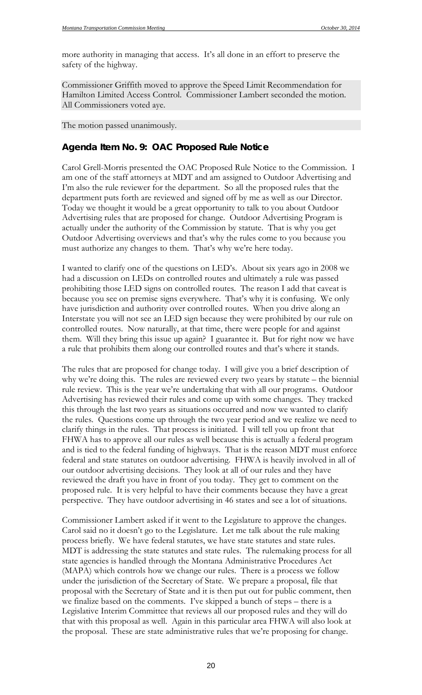more authority in managing that access. It's all done in an effort to preserve the safety of the highway.

Commissioner Griffith moved to approve the Speed Limit Recommendation for Hamilton Limited Access Control. Commissioner Lambert seconded the motion. All Commissioners voted aye.

The motion passed unanimously.

### *Agenda Item No. 9: OAC Proposed Rule Notice*

Carol Grell-Morris presented the OAC Proposed Rule Notice to the Commission. I am one of the staff attorneys at MDT and am assigned to Outdoor Advertising and I'm also the rule reviewer for the department. So all the proposed rules that the department puts forth are reviewed and signed off by me as well as our Director. Today we thought it would be a great opportunity to talk to you about Outdoor Advertising rules that are proposed for change. Outdoor Advertising Program is actually under the authority of the Commission by statute. That is why you get Outdoor Advertising overviews and that's why the rules come to you because you must authorize any changes to them. That's why we're here today.

I wanted to clarify one of the questions on LED's. About six years ago in 2008 we had a discussion on LEDs on controlled routes and ultimately a rule was passed prohibiting those LED signs on controlled routes. The reason I add that caveat is because you see on premise signs everywhere. That's why it is confusing. We only have jurisdiction and authority over controlled routes. When you drive along an Interstate you will not see an LED sign because they were prohibited by our rule on controlled routes. Now naturally, at that time, there were people for and against them. Will they bring this issue up again? I guarantee it. But for right now we have a rule that prohibits them along our controlled routes and that's where it stands.

The rules that are proposed for change today. I will give you a brief description of why we're doing this. The rules are reviewed every two years by statute – the biennial rule review. This is the year we're undertaking that with all our programs. Outdoor Advertising has reviewed their rules and come up with some changes. They tracked this through the last two years as situations occurred and now we wanted to clarify the rules. Questions come up through the two year period and we realize we need to clarify things in the rules. That process is initiated. I will tell you up front that FHWA has to approve all our rules as well because this is actually a federal program and is tied to the federal funding of highways. That is the reason MDT must enforce federal and state statutes on outdoor advertising. FHWA is heavily involved in all of our outdoor advertising decisions. They look at all of our rules and they have reviewed the draft you have in front of you today. They get to comment on the proposed rule. It is very helpful to have their comments because they have a great perspective. They have outdoor advertising in 46 states and see a lot of situations.

Commissioner Lambert asked if it went to the Legislature to approve the changes. Carol said no it doesn't go to the Legislature. Let me talk about the rule making process briefly. We have federal statutes, we have state statutes and state rules. MDT is addressing the state statutes and state rules. The rulemaking process for all state agencies is handled through the Montana Administrative Procedures Act (MAPA) which controls how we change our rules. There is a process we follow under the jurisdiction of the Secretary of State. We prepare a proposal, file that proposal with the Secretary of State and it is then put out for public comment, then we finalize based on the comments. I've skipped a bunch of steps – there is a Legislative Interim Committee that reviews all our proposed rules and they will do that with this proposal as well. Again in this particular area FHWA will also look at the proposal. These are state administrative rules that we're proposing for change.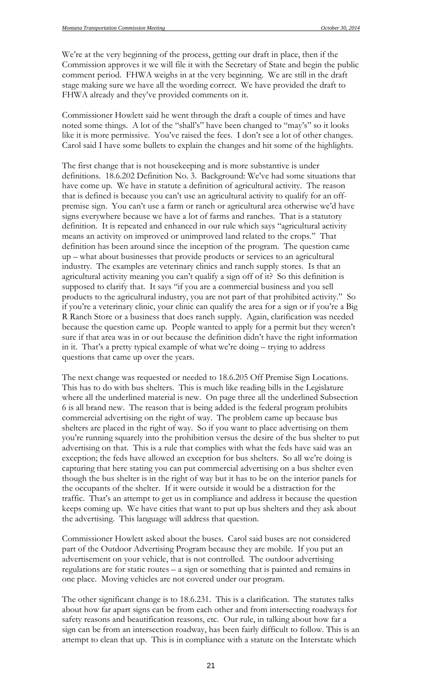We're at the very beginning of the process, getting our draft in place, then if the Commission approves it we will file it with the Secretary of State and begin the public comment period. FHWA weighs in at the very beginning. We are still in the draft stage making sure we have all the wording correct. We have provided the draft to FHWA already and they've provided comments on it.

Commissioner Howlett said he went through the draft a couple of times and have noted some things. A lot of the "shall's" have been changed to "may's" so it looks like it is more permissive. You've raised the fees. I don't see a lot of other changes. Carol said I have some bullets to explain the changes and hit some of the highlights.

The first change that is not housekeeping and is more substantive is under definitions. 18.6.202 Definition No. 3. Background: We've had some situations that have come up. We have in statute a definition of agricultural activity. The reason that is defined is because you can't use an agricultural activity to qualify for an offpremise sign. You can't use a farm or ranch or agricultural area otherwise we'd have signs everywhere because we have a lot of farms and ranches. That is a statutory definition. It is repeated and enhanced in our rule which says "agricultural activity means an activity on improved or unimproved land related to the crops." That definition has been around since the inception of the program. The question came up – what about businesses that provide products or services to an agricultural industry. The examples are veterinary clinics and ranch supply stores. Is that an agricultural activity meaning you can't qualify a sign off of it? So this definition is supposed to clarify that. It says "if you are a commercial business and you sell products to the agricultural industry, you are not part of that prohibited activity." So if you're a veterinary clinic, your clinic can qualify the area for a sign or if you're a Big R Ranch Store or a business that does ranch supply. Again, clarification was needed because the question came up. People wanted to apply for a permit but they weren't sure if that area was in or out because the definition didn't have the right information in it. That's a pretty typical example of what we're doing – trying to address questions that came up over the years.

The next change was requested or needed to 18.6.205 Off Premise Sign Locations. This has to do with bus shelters. This is much like reading bills in the Legislature where all the underlined material is new. On page three all the underlined Subsection 6 is all brand new. The reason that is being added is the federal program prohibits commercial advertising on the right of way. The problem came up because bus shelters are placed in the right of way. So if you want to place advertising on them you're running squarely into the prohibition versus the desire of the bus shelter to put advertising on that. This is a rule that complies with what the feds have said was an exception; the feds have allowed an exception for bus shelters. So all we're doing is capturing that here stating you can put commercial advertising on a bus shelter even though the bus shelter is in the right of way but it has to be on the interior panels for the occupants of the shelter. If it were outside it would be a distraction for the traffic. That's an attempt to get us in compliance and address it because the question keeps coming up. We have cities that want to put up bus shelters and they ask about the advertising. This language will address that question.

Commissioner Howlett asked about the buses. Carol said buses are not considered part of the Outdoor Advertising Program because they are mobile. If you put an advertisement on your vehicle, that is not controlled. The outdoor advertising regulations are for static routes – a sign or something that is painted and remains in one place. Moving vehicles are not covered under our program.

The other significant change is to 18.6.231. This is a clarification. The statutes talks about how far apart signs can be from each other and from intersecting roadways for safety reasons and beautification reasons, etc. Our rule, in talking about how far a sign can be from an intersection roadway, has been fairly difficult to follow. This is an attempt to clean that up. This is in compliance with a statute on the Interstate which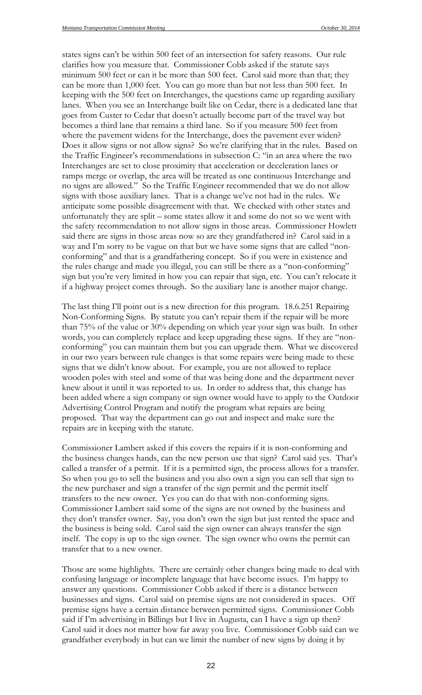states signs can't be within 500 feet of an intersection for safety reasons. Our rule clarifies how you measure that. Commissioner Cobb asked if the statute says minimum 500 feet or can it be more than 500 feet. Carol said more than that; they can be more than 1,000 feet. You can go more than but not less than 500 feet. In keeping with the 500 feet on Interchanges, the questions came up regarding auxiliary lanes. When you see an Interchange built like on Cedar, there is a dedicated lane that goes from Custer to Cedar that doesn't actually become part of the travel way but becomes a third lane that remains a third lane. So if you measure 500 feet from where the pavement widens for the Interchange, does the pavement ever widen? Does it allow signs or not allow signs? So we're clarifying that in the rules. Based on the Traffic Engineer's recommendations in subsection C: "in an area where the two Interchanges are set to close proximity that acceleration or deceleration lanes or ramps merge or overlap, the area will be treated as one continuous Interchange and no signs are allowed." So the Traffic Engineer recommended that we do not allow signs with those auxiliary lanes. That is a change we've not had in the rules. We anticipate some possible disagreement with that. We checked with other states and unfortunately they are split – some states allow it and some do not so we went with the safety recommendation to not allow signs in those areas. Commissioner Howlett said there are signs in those areas now so are they grandfathered in? Carol said in a way and I'm sorry to be vague on that but we have some signs that are called "nonconforming" and that is a grandfathering concept. So if you were in existence and the rules change and made you illegal, you can still be there as a "non-conforming" sign but you're very limited in how you can repair that sign, etc. You can't relocate it if a highway project comes through. So the auxiliary lane is another major change.

The last thing I'll point out is a new direction for this program. 18.6.251 Repairing Non-Conforming Signs. By statute you can't repair them if the repair will be more than 75% of the value or 30% depending on which year your sign was built. In other words, you can completely replace and keep upgrading these signs. If they are "nonconforming" you can maintain them but you can upgrade them. What we discovered in our two years between rule changes is that some repairs were being made to these signs that we didn't know about. For example, you are not allowed to replace wooden poles with steel and some of that was being done and the department never knew about it until it was reported to us. In order to address that, this change has been added where a sign company or sign owner would have to apply to the Outdoor Advertising Control Program and notify the program what repairs are being proposed. That way the department can go out and inspect and make sure the repairs are in keeping with the statute.

Commissioner Lambert asked if this covers the repairs if it is non-conforming and the business changes hands, can the new person use that sign? Carol said yes. That's called a transfer of a permit. If it is a permitted sign, the process allows for a transfer. So when you go to sell the business and you also own a sign you can sell that sign to the new purchaser and sign a transfer of the sign permit and the permit itself transfers to the new owner. Yes you can do that with non-conforming signs. Commissioner Lambert said some of the signs are not owned by the business and they don't transfer owner. Say, you don't own the sign but just rented the space and the business is being sold. Carol said the sign owner can always transfer the sign itself. The copy is up to the sign owner. The sign owner who owns the permit can transfer that to a new owner.

Those are some highlights. There are certainly other changes being made to deal with confusing language or incomplete language that have become issues. I'm happy to answer any questions. Commissioner Cobb asked if there is a distance between businesses and signs. Carol said on premise signs are not considered in spaces. Off premise signs have a certain distance between permitted signs. Commissioner Cobb said if I'm advertising in Billings but I live in Augusta, can I have a sign up then? Carol said it does not matter how far away you live. Commissioner Cobb said can we grandfather everybody in but can we limit the number of new signs by doing it by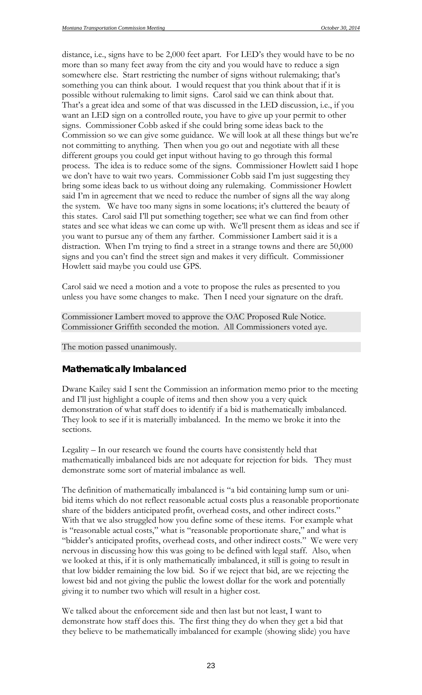distance, i.e., signs have to be 2,000 feet apart. For LED's they would have to be no more than so many feet away from the city and you would have to reduce a sign somewhere else. Start restricting the number of signs without rulemaking; that's something you can think about. I would request that you think about that if it is possible without rulemaking to limit signs. Carol said we can think about that. That's a great idea and some of that was discussed in the LED discussion, i.e., if you want an LED sign on a controlled route, you have to give up your permit to other signs. Commissioner Cobb asked if she could bring some ideas back to the Commission so we can give some guidance. We will look at all these things but we're not committing to anything. Then when you go out and negotiate with all these different groups you could get input without having to go through this formal process. The idea is to reduce some of the signs. Commissioner Howlett said I hope we don't have to wait two years. Commissioner Cobb said I'm just suggesting they bring some ideas back to us without doing any rulemaking. Commissioner Howlett said I'm in agreement that we need to reduce the number of signs all the way along the system. We have too many signs in some locations; it's cluttered the beauty of this states. Carol said I'll put something together; see what we can find from other states and see what ideas we can come up with. We'll present them as ideas and see if you want to pursue any of them any farther. Commissioner Lambert said it is a distraction. When I'm trying to find a street in a strange towns and there are 50,000 signs and you can't find the street sign and makes it very difficult. Commissioner Howlett said maybe you could use GPS.

Carol said we need a motion and a vote to propose the rules as presented to you unless you have some changes to make. Then I need your signature on the draft.

Commissioner Lambert moved to approve the OAC Proposed Rule Notice. Commissioner Griffith seconded the motion. All Commissioners voted aye.

The motion passed unanimously.

#### *Mathematically Imbalanced*

Dwane Kailey said I sent the Commission an information memo prior to the meeting and I'll just highlight a couple of items and then show you a very quick demonstration of what staff does to identify if a bid is mathematically imbalanced. They look to see if it is materially imbalanced. In the memo we broke it into the sections.

Legality – In our research we found the courts have consistently held that mathematically imbalanced bids are not adequate for rejection for bids. They must demonstrate some sort of material imbalance as well.

The definition of mathematically imbalanced is "a bid containing lump sum or unibid items which do not reflect reasonable actual costs plus a reasonable proportionate share of the bidders anticipated profit, overhead costs, and other indirect costs." With that we also struggled how you define some of these items. For example what is "reasonable actual costs," what is "reasonable proportionate share," and what is "bidder's anticipated profits, overhead costs, and other indirect costs." We were very nervous in discussing how this was going to be defined with legal staff. Also, when we looked at this, if it is only mathematically imbalanced, it still is going to result in that low bidder remaining the low bid. So if we reject that bid, are we rejecting the lowest bid and not giving the public the lowest dollar for the work and potentially giving it to number two which will result in a higher cost.

We talked about the enforcement side and then last but not least, I want to demonstrate how staff does this. The first thing they do when they get a bid that they believe to be mathematically imbalanced for example (showing slide) you have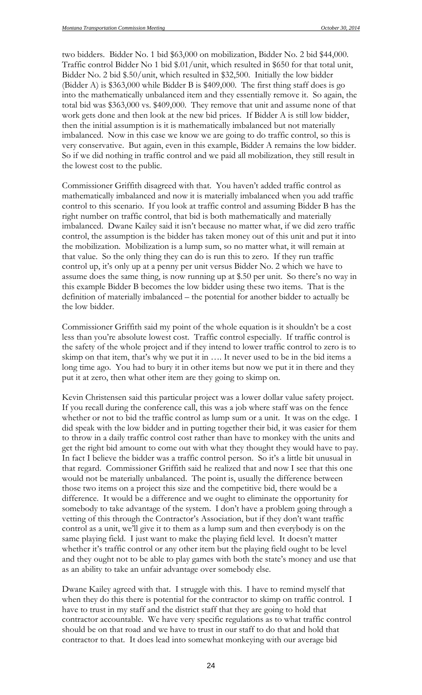two bidders. Bidder No. 1 bid \$63,000 on mobilization, Bidder No. 2 bid \$44,000. Traffic control Bidder No 1 bid \$.01/unit, which resulted in \$650 for that total unit, Bidder No. 2 bid \$.50/unit, which resulted in \$32,500. Initially the low bidder (Bidder A) is \$363,000 while Bidder B is \$409,000. The first thing staff does is go into the mathematically unbalanced item and they essentially remove it. So again, the total bid was \$363,000 vs. \$409,000. They remove that unit and assume none of that work gets done and then look at the new bid prices. If Bidder A is still low bidder, then the initial assumption is it is mathematically imbalanced but not materially imbalanced. Now in this case we know we are going to do traffic control, so this is very conservative. But again, even in this example, Bidder A remains the low bidder. So if we did nothing in traffic control and we paid all mobilization, they still result in the lowest cost to the public.

Commissioner Griffith disagreed with that. You haven't added traffic control as mathematically imbalanced and now it is materially imbalanced when you add traffic control to this scenario. If you look at traffic control and assuming Bidder B has the right number on traffic control, that bid is both mathematically and materially imbalanced. Dwane Kailey said it isn't because no matter what, if we did zero traffic control, the assumption is the bidder has taken money out of this unit and put it into the mobilization. Mobilization is a lump sum, so no matter what, it will remain at that value. So the only thing they can do is run this to zero. If they run traffic control up, it's only up at a penny per unit versus Bidder No. 2 which we have to assume does the same thing, is now running up at \$.50 per unit. So there's no way in this example Bidder B becomes the low bidder using these two items. That is the definition of materially imbalanced – the potential for another bidder to actually be the low bidder.

Commissioner Griffith said my point of the whole equation is it shouldn't be a cost less than you're absolute lowest cost. Traffic control especially. If traffic control is the safety of the whole project and if they intend to lower traffic control to zero is to skimp on that item, that's why we put it in …. It never used to be in the bid items a long time ago. You had to bury it in other items but now we put it in there and they put it at zero, then what other item are they going to skimp on.

Kevin Christensen said this particular project was a lower dollar value safety project. If you recall during the conference call, this was a job where staff was on the fence whether or not to bid the traffic control as lump sum or a unit. It was on the edge. I did speak with the low bidder and in putting together their bid, it was easier for them to throw in a daily traffic control cost rather than have to monkey with the units and get the right bid amount to come out with what they thought they would have to pay. In fact I believe the bidder was a traffic control person. So it's a little bit unusual in that regard. Commissioner Griffith said he realized that and now I see that this one would not be materially unbalanced. The point is, usually the difference between those two items on a project this size and the competitive bid, there would be a difference. It would be a difference and we ought to eliminate the opportunity for somebody to take advantage of the system. I don't have a problem going through a vetting of this through the Contractor's Association, but if they don't want traffic control as a unit, we'll give it to them as a lump sum and then everybody is on the same playing field. I just want to make the playing field level. It doesn't matter whether it's traffic control or any other item but the playing field ought to be level and they ought not to be able to play games with both the state's money and use that as an ability to take an unfair advantage over somebody else.

Dwane Kailey agreed with that. I struggle with this. I have to remind myself that when they do this there is potential for the contractor to skimp on traffic control. I have to trust in my staff and the district staff that they are going to hold that contractor accountable. We have very specific regulations as to what traffic control should be on that road and we have to trust in our staff to do that and hold that contractor to that. It does lead into somewhat monkeying with our average bid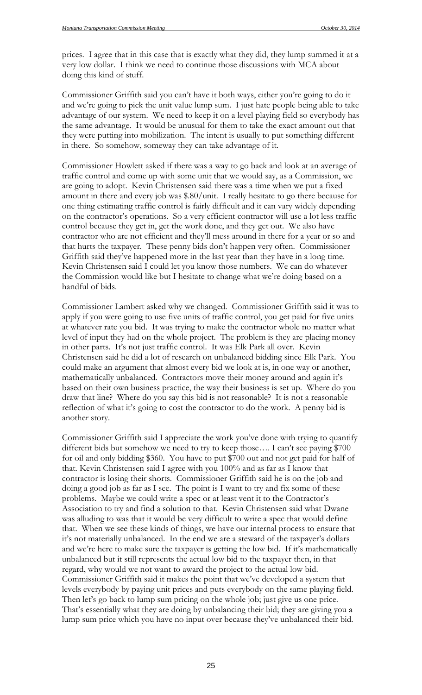prices. I agree that in this case that is exactly what they did, they lump summed it at a very low dollar. I think we need to continue those discussions with MCA about doing this kind of stuff.

Commissioner Griffith said you can't have it both ways, either you're going to do it and we're going to pick the unit value lump sum. I just hate people being able to take advantage of our system. We need to keep it on a level playing field so everybody has the same advantage. It would be unusual for them to take the exact amount out that they were putting into mobilization. The intent is usually to put something different in there. So somehow, someway they can take advantage of it.

Commissioner Howlett asked if there was a way to go back and look at an average of traffic control and come up with some unit that we would say, as a Commission, we are going to adopt. Kevin Christensen said there was a time when we put a fixed amount in there and every job was \$.80/unit. I really hesitate to go there because for one thing estimating traffic control is fairly difficult and it can vary widely depending on the contractor's operations. So a very efficient contractor will use a lot less traffic control because they get in, get the work done, and they get out. We also have contractor who are not efficient and they'll mess around in there for a year or so and that hurts the taxpayer. These penny bids don't happen very often. Commissioner Griffith said they've happened more in the last year than they have in a long time. Kevin Christensen said I could let you know those numbers. We can do whatever the Commission would like but I hesitate to change what we're doing based on a handful of bids.

Commissioner Lambert asked why we changed. Commissioner Griffith said it was to apply if you were going to use five units of traffic control, you get paid for five units at whatever rate you bid. It was trying to make the contractor whole no matter what level of input they had on the whole project. The problem is they are placing money in other parts. It's not just traffic control. It was Elk Park all over. Kevin Christensen said he did a lot of research on unbalanced bidding since Elk Park. You could make an argument that almost every bid we look at is, in one way or another, mathematically unbalanced. Contractors move their money around and again it's based on their own business practice, the way their business is set up. Where do you draw that line? Where do you say this bid is not reasonable? It is not a reasonable reflection of what it's going to cost the contractor to do the work. A penny bid is another story.

Commissioner Griffith said I appreciate the work you've done with trying to quantify different bids but somehow we need to try to keep those…. I can't see paying \$700 for oil and only bidding \$360. You have to put \$700 out and not get paid for half of that. Kevin Christensen said I agree with you 100% and as far as I know that contractor is losing their shorts. Commissioner Griffith said he is on the job and doing a good job as far as I see. The point is I want to try and fix some of these problems. Maybe we could write a spec or at least vent it to the Contractor's Association to try and find a solution to that. Kevin Christensen said what Dwane was alluding to was that it would be very difficult to write a spec that would define that. When we see these kinds of things, we have our internal process to ensure that it's not materially unbalanced. In the end we are a steward of the taxpayer's dollars and we're here to make sure the taxpayer is getting the low bid. If it's mathematically unbalanced but it still represents the actual low bid to the taxpayer then, in that regard, why would we not want to award the project to the actual low bid. Commissioner Griffith said it makes the point that we've developed a system that levels everybody by paying unit prices and puts everybody on the same playing field. Then let's go back to lump sum pricing on the whole job; just give us one price. That's essentially what they are doing by unbalancing their bid; they are giving you a lump sum price which you have no input over because they've unbalanced their bid.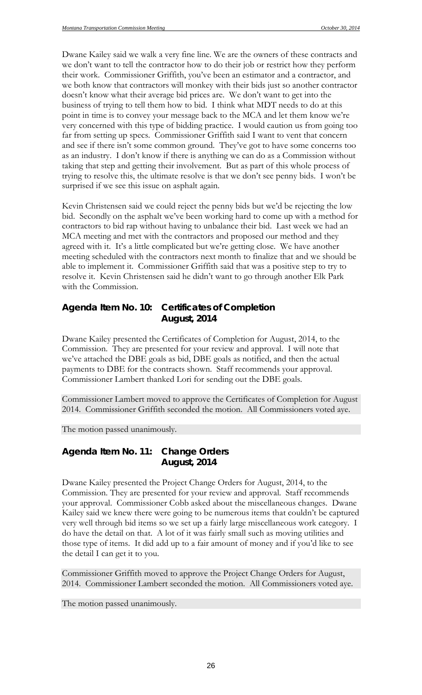Dwane Kailey said we walk a very fine line. We are the owners of these contracts and we don't want to tell the contractor how to do their job or restrict how they perform their work. Commissioner Griffith, you've been an estimator and a contractor, and we both know that contractors will monkey with their bids just so another contractor doesn't know what their average bid prices are. We don't want to get into the business of trying to tell them how to bid. I think what MDT needs to do at this point in time is to convey your message back to the MCA and let them know we're very concerned with this type of bidding practice. I would caution us from going too far from setting up specs. Commissioner Griffith said I want to vent that concern and see if there isn't some common ground. They've got to have some concerns too as an industry. I don't know if there is anything we can do as a Commission without taking that step and getting their involvement. But as part of this whole process of trying to resolve this, the ultimate resolve is that we don't see penny bids. I won't be surprised if we see this issue on asphalt again.

Kevin Christensen said we could reject the penny bids but we'd be rejecting the low bid. Secondly on the asphalt we've been working hard to come up with a method for contractors to bid rap without having to unbalance their bid. Last week we had an MCA meeting and met with the contractors and proposed our method and they agreed with it. It's a little complicated but we're getting close. We have another meeting scheduled with the contractors next month to finalize that and we should be able to implement it. Commissioner Griffith said that was a positive step to try to resolve it. Kevin Christensen said he didn't want to go through another Elk Park with the Commission.

### *Agenda Item No. 10: Certificates of Completion August, 2014*

Dwane Kailey presented the Certificates of Completion for August, 2014, to the Commission. They are presented for your review and approval. I will note that we've attached the DBE goals as bid, DBE goals as notified, and then the actual payments to DBE for the contracts shown. Staff recommends your approval. Commissioner Lambert thanked Lori for sending out the DBE goals.

Commissioner Lambert moved to approve the Certificates of Completion for August 2014. Commissioner Griffith seconded the motion. All Commissioners voted aye.

The motion passed unanimously.

### *Agenda Item No. 11: Change Orders August, 2014*

Dwane Kailey presented the Project Change Orders for August, 2014, to the Commission. They are presented for your review and approval. Staff recommends your approval. Commissioner Cobb asked about the miscellaneous changes. Dwane Kailey said we knew there were going to be numerous items that couldn't be captured very well through bid items so we set up a fairly large miscellaneous work category. I do have the detail on that. A lot of it was fairly small such as moving utilities and those type of items. It did add up to a fair amount of money and if you'd like to see the detail I can get it to you.

Commissioner Griffith moved to approve the Project Change Orders for August, 2014. Commissioner Lambert seconded the motion. All Commissioners voted aye.

The motion passed unanimously.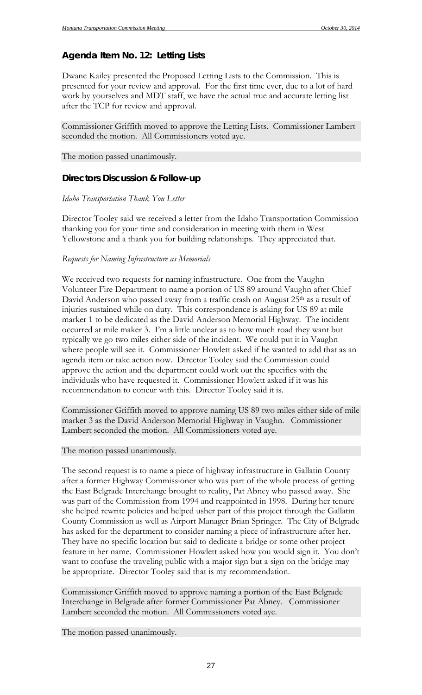## *Agenda Item No. 12: Letting Lists*

Dwane Kailey presented the Proposed Letting Lists to the Commission. This is presented for your review and approval. For the first time ever, due to a lot of hard work by yourselves and MDT staff, we have the actual true and accurate letting list after the TCP for review and approval.

Commissioner Griffith moved to approve the Letting Lists. Commissioner Lambert seconded the motion. All Commissioners voted aye.

The motion passed unanimously.

### *Directors Discussion & Follow-up*

#### *Idaho Transportation Thank You Letter*

Director Tooley said we received a letter from the Idaho Transportation Commission thanking you for your time and consideration in meeting with them in West Yellowstone and a thank you for building relationships. They appreciated that.

#### *Requests for Naming Infrastructure as Memorials*

We received two requests for naming infrastructure. One from the Vaughn Volunteer Fire Department to name a portion of US 89 around Vaughn after Chief David Anderson who passed away from a traffic crash on August 25<sup>th</sup> as a result of injuries sustained while on duty. This correspondence is asking for US 89 at mile marker 1 to be dedicated as the David Anderson Memorial Highway. The incident occurred at mile maker 3. I'm a little unclear as to how much road they want but typically we go two miles either side of the incident. We could put it in Vaughn where people will see it. Commissioner Howlett asked if he wanted to add that as an agenda item or take action now. Director Tooley said the Commission could approve the action and the department could work out the specifics with the individuals who have requested it. Commissioner Howlett asked if it was his recommendation to concur with this. Director Tooley said it is.

Commissioner Griffith moved to approve naming US 89 two miles either side of mile marker 3 as the David Anderson Memorial Highway in Vaughn. Commissioner Lambert seconded the motion. All Commissioners voted aye.

The motion passed unanimously.

The second request is to name a piece of highway infrastructure in Gallatin County after a former Highway Commissioner who was part of the whole process of getting the East Belgrade Interchange brought to reality, Pat Abney who passed away. She was part of the Commission from 1994 and reappointed in 1998. During her tenure she helped rewrite policies and helped usher part of this project through the Gallatin County Commission as well as Airport Manager Brian Springer. The City of Belgrade has asked for the department to consider naming a piece of infrastructure after her. They have no specific location but said to dedicate a bridge or some other project feature in her name. Commissioner Howlett asked how you would sign it. You don't want to confuse the traveling public with a major sign but a sign on the bridge may be appropriate. Director Tooley said that is my recommendation.

Commissioner Griffith moved to approve naming a portion of the East Belgrade Interchange in Belgrade after former Commissioner Pat Abney. Commissioner Lambert seconded the motion. All Commissioners voted aye.

The motion passed unanimously.